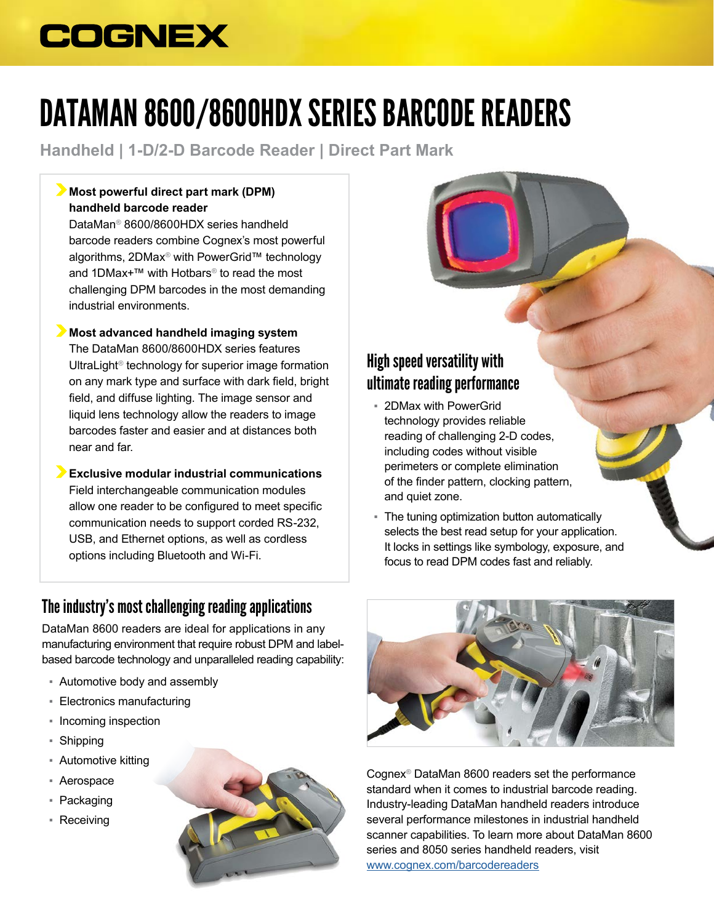# **COGNEX**

# DATAMAN 8600/8600HDX SERIES BARCODE READERS

**Handheld | 1-D/2-D Barcode Reader | Direct Part Mark**

## **Most powerful direct part mark (DPM) handheld barcode reader**

DataMan® 8600/8600HDX series handheld barcode readers combine Cognex's most powerful algorithms, 2DMax® with PowerGrid™ technology and 1DMax+™ with Hotbars® to read the most challenging DPM barcodes in the most demanding industrial environments.

### **Most advanced handheld imaging system**

The DataMan 8600/8600HDX series features UltraLight® technology for superior image formation on any mark type and surface with dark field, bright field, and diffuse lighting. The image sensor and liquid lens technology allow the readers to image barcodes faster and easier and at distances both near and far.

**Exclusive modular industrial communications** Field interchangeable communication modules allow one reader to be configured to meet specific communication needs to support corded RS-232, USB, and Ethernet options, as well as cordless options including Bluetooth and Wi-Fi.

## The industry's most challenging reading applications

DataMan 8600 readers are ideal for applications in any manufacturing environment that require robust DPM and labelbased barcode technology and unparalleled reading capability:

- Automotive body and assembly
- Electronics manufacturing
- Incoming inspection
- Shipping
- Automotive kitting
- Aerospace
- Packaging
- Receiving





- 2DMax with PowerGrid technology provides reliable reading of challenging 2-D codes, including codes without visible perimeters or complete elimination of the finder pattern, clocking pattern, and quiet zone.
- **The tuning optimization button automatically** selects the best read setup for your application. It locks in settings like symbology, exposure, and focus to read DPM codes fast and reliably.



Cognex® DataMan 8600 readers set the performance standard when it comes to industrial barcode reading. Industry-leading DataMan handheld readers introduce several performance milestones in industrial handheld scanner capabilities. To learn more about DataMan 8600 series and 8050 series handheld readers, visit [www.cognex.com/b](http://www.cognex.com/dataman)arcodereaders